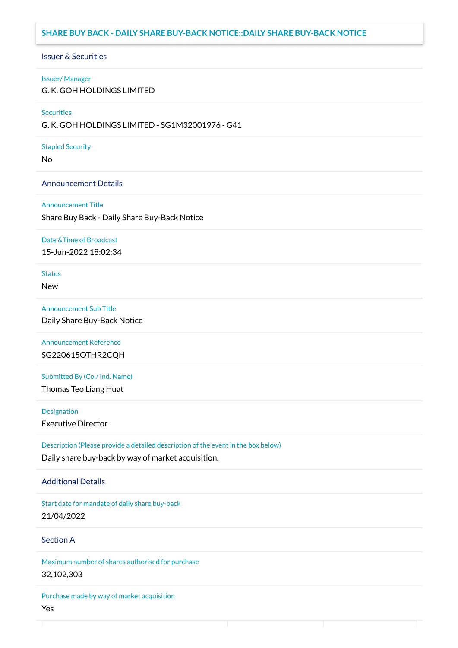## **SHARE BUY BACK - DAILY SHARE BUY-BACK NOTICE::DAILY SHARE BUY-BACK NOTICE**

#### Issuer & Securities

#### Issuer/ Manager

G. K. GOH HOLDINGS LIMITED

#### **Securities**

G. K. GOH HOLDINGS LIMITED - SG1M32001976 - G41

#### Stapled Security

No

### Announcement Details

#### Announcement Title

Share Buy Back - Daily Share Buy-Back Notice

#### Date &Time of Broadcast

15-Jun-2022 18:02:34

# **Status**

New

## Announcement Sub Title

Daily Share Buy-Back Notice

# Announcement Reference SG220615OTHR2CQH

Submitted By (Co./ Ind. Name)

Thomas Teo Liang Huat

**Designation** 

Executive Director

Description (Please provide a detailed description of the event in the box below) Daily share buy-back by way of market acquisition.

## Additional Details

Start date for mandate of daily share buy-back 21/04/2022

## Section A

Maximum number of shares authorised for purchase 32,102,303

Purchase made by way of market acquisition Yes